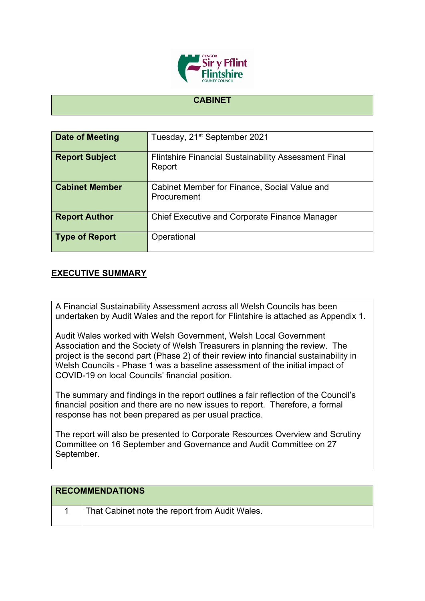

## **CABINET**

| Date of Meeting       | Tuesday, 21 <sup>st</sup> September 2021                              |
|-----------------------|-----------------------------------------------------------------------|
| <b>Report Subject</b> | <b>Flintshire Financial Sustainability Assessment Final</b><br>Report |
| <b>Cabinet Member</b> | Cabinet Member for Finance, Social Value and<br>Procurement           |
| <b>Report Author</b>  | <b>Chief Executive and Corporate Finance Manager</b>                  |
| <b>Type of Report</b> | Operational                                                           |

## **EXECUTIVE SUMMARY**

A Financial Sustainability Assessment across all Welsh Councils has been undertaken by Audit Wales and the report for Flintshire is attached as Appendix 1.

Audit Wales worked with Welsh Government, Welsh Local Government Association and the Society of Welsh Treasurers in planning the review. The project is the second part (Phase 2) of their review into financial sustainability in Welsh Councils - Phase 1 was a baseline assessment of the initial impact of COVID-19 on local Councils' financial position.

The summary and findings in the report outlines a fair reflection of the Council's financial position and there are no new issues to report. Therefore, a formal response has not been prepared as per usual practice.

The report will also be presented to Corporate Resources Overview and Scrutiny Committee on 16 September and Governance and Audit Committee on 27 September.

| <b>RECOMMENDATIONS</b> |                                                |
|------------------------|------------------------------------------------|
|                        | That Cabinet note the report from Audit Wales. |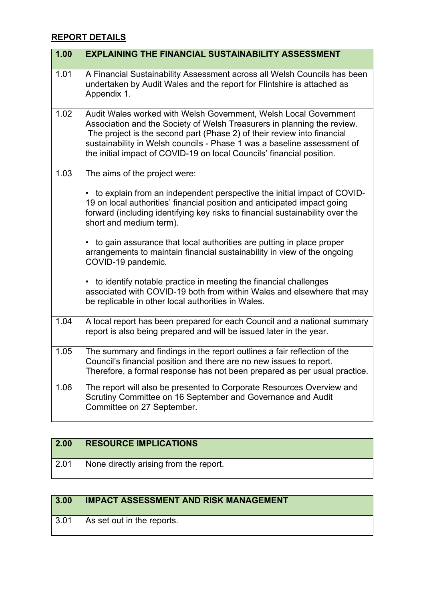## **REPORT DETAILS**

| 1.00 | <b>EXPLAINING THE FINANCIAL SUSTAINABILITY ASSESSMENT</b>                                                                                                                                                                                                                                                                                                                  |
|------|----------------------------------------------------------------------------------------------------------------------------------------------------------------------------------------------------------------------------------------------------------------------------------------------------------------------------------------------------------------------------|
| 1.01 | A Financial Sustainability Assessment across all Welsh Councils has been<br>undertaken by Audit Wales and the report for Flintshire is attached as<br>Appendix 1.                                                                                                                                                                                                          |
| 1.02 | Audit Wales worked with Welsh Government, Welsh Local Government<br>Association and the Society of Welsh Treasurers in planning the review.<br>The project is the second part (Phase 2) of their review into financial<br>sustainability in Welsh councils - Phase 1 was a baseline assessment of<br>the initial impact of COVID-19 on local Councils' financial position. |
| 1.03 | The aims of the project were:                                                                                                                                                                                                                                                                                                                                              |
|      | • to explain from an independent perspective the initial impact of COVID-<br>19 on local authorities' financial position and anticipated impact going<br>forward (including identifying key risks to financial sustainability over the<br>short and medium term).                                                                                                          |
|      | to gain assurance that local authorities are putting in place proper<br>٠<br>arrangements to maintain financial sustainability in view of the ongoing<br>COVID-19 pandemic.                                                                                                                                                                                                |
|      | • to identify notable practice in meeting the financial challenges<br>associated with COVID-19 both from within Wales and elsewhere that may<br>be replicable in other local authorities in Wales.                                                                                                                                                                         |
| 1.04 | A local report has been prepared for each Council and a national summary<br>report is also being prepared and will be issued later in the year.                                                                                                                                                                                                                            |
| 1.05 | The summary and findings in the report outlines a fair reflection of the<br>Council's financial position and there are no new issues to report.<br>Therefore, a formal response has not been prepared as per usual practice.                                                                                                                                               |
| 1.06 | The report will also be presented to Corporate Resources Overview and<br>Scrutiny Committee on 16 September and Governance and Audit<br>Committee on 27 September.                                                                                                                                                                                                         |

| 2.00 | <b>RESOURCE IMPLICATIONS</b>           |
|------|----------------------------------------|
| 2.01 | None directly arising from the report. |

| $\vert 3.00 \vert$ | <b>IMPACT ASSESSMENT AND RISK MANAGEMENT</b> |
|--------------------|----------------------------------------------|
| $\vert 3.01 \vert$ | As set out in the reports.                   |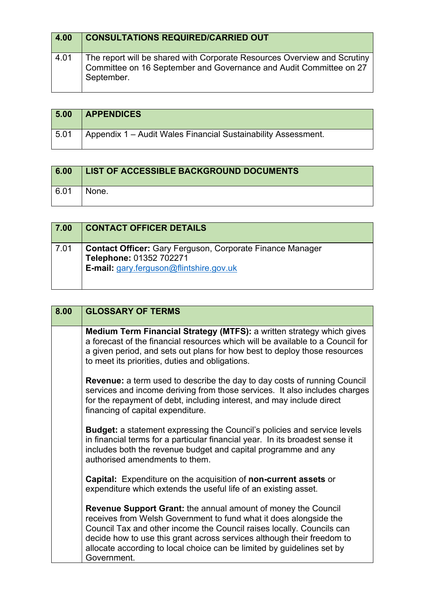| 4.00 | <b>CONSULTATIONS REQUIRED/CARRIED OUT</b>                                                                                                                    |
|------|--------------------------------------------------------------------------------------------------------------------------------------------------------------|
| 4.01 | The report will be shared with Corporate Resources Overview and Scrutiny<br>Committee on 16 September and Governance and Audit Committee on 27<br>September. |

| 5.00 | <b>APPENDICES</b>                                             |
|------|---------------------------------------------------------------|
| 5.01 | Appendix 1 – Audit Wales Financial Sustainability Assessment. |

| 6.00 | <b>LIST OF ACCESSIBLE BACKGROUND DOCUMENTS</b> |
|------|------------------------------------------------|
| 6.01 | None.                                          |

| 7.00 | <b>CONTACT OFFICER DETAILS</b>                                                                                                                |
|------|-----------------------------------------------------------------------------------------------------------------------------------------------|
| 7.01 | <b>Contact Officer:</b> Gary Ferguson, Corporate Finance Manager<br>Telephone: 01352 702271<br><b>E-mail:</b> gary.ferguson@flintshire.gov.uk |

| 8.00 | <b>GLOSSARY OF TERMS</b>                                                                                                                                                                                                                                                                                                                                                              |
|------|---------------------------------------------------------------------------------------------------------------------------------------------------------------------------------------------------------------------------------------------------------------------------------------------------------------------------------------------------------------------------------------|
|      | <b>Medium Term Financial Strategy (MTFS):</b> a written strategy which gives<br>a forecast of the financial resources which will be available to a Council for<br>a given period, and sets out plans for how best to deploy those resources<br>to meet its priorities, duties and obligations.                                                                                        |
|      | <b>Revenue:</b> a term used to describe the day to day costs of running Council<br>services and income deriving from those services. It also includes charges<br>for the repayment of debt, including interest, and may include direct<br>financing of capital expenditure.                                                                                                           |
|      | <b>Budget:</b> a statement expressing the Council's policies and service levels<br>in financial terms for a particular financial year. In its broadest sense it<br>includes both the revenue budget and capital programme and any<br>authorised amendments to them.                                                                                                                   |
|      | <b>Capital:</b> Expenditure on the acquisition of <b>non-current assets</b> or<br>expenditure which extends the useful life of an existing asset.                                                                                                                                                                                                                                     |
|      | <b>Revenue Support Grant:</b> the annual amount of money the Council<br>receives from Welsh Government to fund what it does alongside the<br>Council Tax and other income the Council raises locally. Councils can<br>decide how to use this grant across services although their freedom to<br>allocate according to local choice can be limited by guidelines set by<br>Government. |